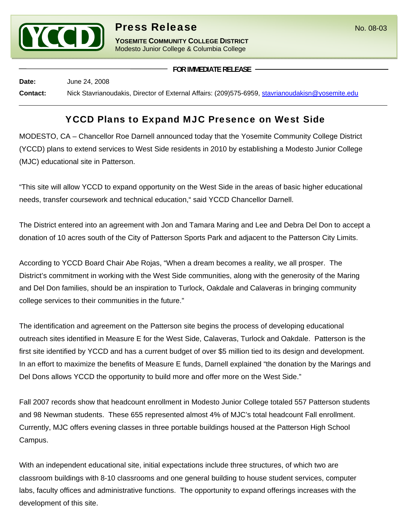

**YOSEMITE COMMUNITY COLLEGE DISTRICT** Modesto Junior College & Columbia College

**FOR IMMEDIATE RELEASE**

**Date:** June 24, 2008 **Contact:** Nick Stavrianoudakis, Director of External Affairs: (209)575-6959, stavrianoudakisn@yosemite.edu

## YCCD Plans to Expand MJC Presence on West Side

MODESTO, CA – Chancellor Roe Darnell announced today that the Yosemite Community College District (YCCD) plans to extend services to West Side residents in 2010 by establishing a Modesto Junior College (MJC) educational site in Patterson.

"This site will allow YCCD to expand opportunity on the West Side in the areas of basic higher educational needs, transfer coursework and technical education," said YCCD Chancellor Darnell.

The District entered into an agreement with Jon and Tamara Maring and Lee and Debra Del Don to accept a donation of 10 acres south of the City of Patterson Sports Park and adjacent to the Patterson City Limits.

According to YCCD Board Chair Abe Rojas, "When a dream becomes a reality, we all prosper. The District's commitment in working with the West Side communities, along with the generosity of the Maring and Del Don families, should be an inspiration to Turlock, Oakdale and Calaveras in bringing community college services to their communities in the future."

The identification and agreement on the Patterson site begins the process of developing educational outreach sites identified in Measure E for the West Side, Calaveras, Turlock and Oakdale. Patterson is the first site identified by YCCD and has a current budget of over \$5 million tied to its design and development. In an effort to maximize the benefits of Measure E funds, Darnell explained "the donation by the Marings and Del Dons allows YCCD the opportunity to build more and offer more on the West Side."

Fall 2007 records show that headcount enrollment in Modesto Junior College totaled 557 Patterson students and 98 Newman students. These 655 represented almost 4% of MJC's total headcount Fall enrollment. Currently, MJC offers evening classes in three portable buildings housed at the Patterson High School Campus.

With an independent educational site, initial expectations include three structures, of which two are classroom buildings with 8-10 classrooms and one general building to house student services, computer labs, faculty offices and administrative functions. The opportunity to expand offerings increases with the development of this site.